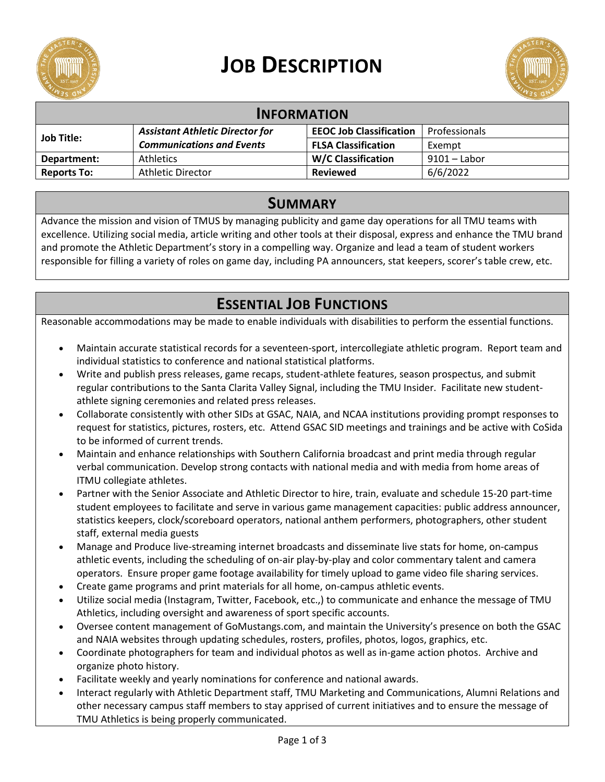

# **JOB DESCRIPTION**



| <b>INFORMATION</b> |                                        |                                |               |
|--------------------|----------------------------------------|--------------------------------|---------------|
| <b>Job Title:</b>  | <b>Assistant Athletic Director for</b> | <b>EEOC Job Classification</b> | Professionals |
|                    | <b>Communications and Events</b>       | <b>FLSA Classification</b>     | Exempt        |
| Department:        | <b>Athletics</b>                       | <b>W/C Classification</b>      | 9101 – Labor  |
| <b>Reports To:</b> | <b>Athletic Director</b>               | <b>Reviewed</b>                | 6/6/2022      |

#### **SUMMARY**

Advance the mission and vision of TMUS by managing publicity and game day operations for all TMU teams with excellence. Utilizing social media, article writing and other tools at their disposal, express and enhance the TMU brand and promote the Athletic Department's story in a compelling way. Organize and lead a team of student workers responsible for filling a variety of roles on game day, including PA announcers, stat keepers, scorer's table crew, etc.

## **ESSENTIAL JOB FUNCTIONS**

Reasonable accommodations may be made to enable individuals with disabilities to perform the essential functions.

- Maintain accurate statistical records for a seventeen-sport, intercollegiate athletic program. Report team and individual statistics to conference and national statistical platforms.
- Write and publish press releases, game recaps, student-athlete features, season prospectus, and submit regular contributions to the Santa Clarita Valley Signal, including the TMU Insider. Facilitate new studentathlete signing ceremonies and related press releases.
- Collaborate consistently with other SIDs at GSAC, NAIA, and NCAA institutions providing prompt responses to request for statistics, pictures, rosters, etc. Attend GSAC SID meetings and trainings and be active with CoSida to be informed of current trends.
- Maintain and enhance relationships with Southern California broadcast and print media through regular verbal communication. Develop strong contacts with national media and with media from home areas of ITMU collegiate athletes.
- Partner with the Senior Associate and Athletic Director to hire, train, evaluate and schedule 15-20 part-time student employees to facilitate and serve in various game management capacities: public address announcer, statistics keepers, clock/scoreboard operators, national anthem performers, photographers, other student staff, external media guests
- Manage and Produce live-streaming internet broadcasts and disseminate live stats for home, on-campus athletic events, including the scheduling of on-air play-by-play and color commentary talent and camera operators. Ensure proper game footage availability for timely upload to game video file sharing services.
- Create game programs and print materials for all home, on-campus athletic events.
- Utilize social media (Instagram, Twitter, Facebook, etc.,) to communicate and enhance the message of TMU Athletics, including oversight and awareness of sport specific accounts.
- Oversee content management of GoMustangs.com, and maintain the University's presence on both the GSAC and NAIA websites through updating schedules, rosters, profiles, photos, logos, graphics, etc.
- Coordinate photographers for team and individual photos as well as in-game action photos. Archive and organize photo history.
- Facilitate weekly and yearly nominations for conference and national awards.
- Interact regularly with Athletic Department staff, TMU Marketing and Communications, Alumni Relations and other necessary campus staff members to stay apprised of current initiatives and to ensure the message of TMU Athletics is being properly communicated.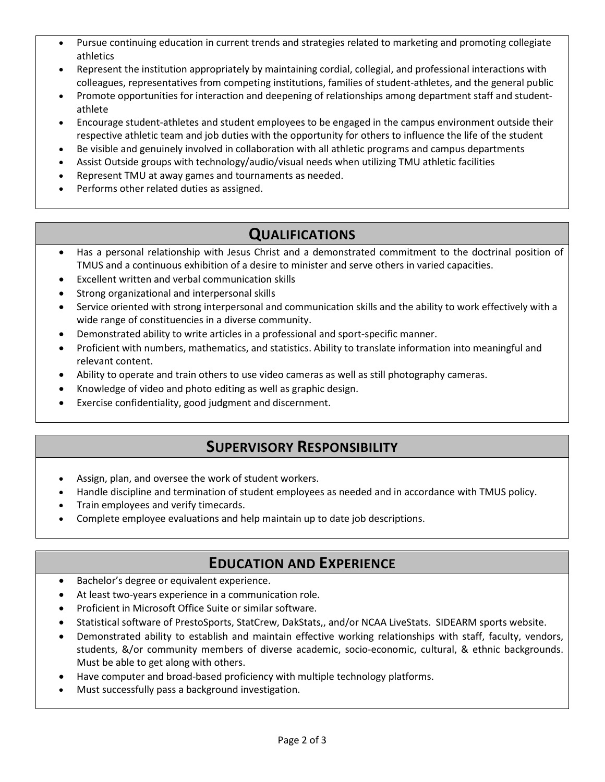- Pursue continuing education in current trends and strategies related to marketing and promoting collegiate athletics
- Represent the institution appropriately by maintaining cordial, collegial, and professional interactions with colleagues, representatives from competing institutions, families of student-athletes, and the general public
- Promote opportunities for interaction and deepening of relationships among department staff and studentathlete
- Encourage student-athletes and student employees to be engaged in the campus environment outside their respective athletic team and job duties with the opportunity for others to influence the life of the student
- Be visible and genuinely involved in collaboration with all athletic programs and campus departments
- Assist Outside groups with technology/audio/visual needs when utilizing TMU athletic facilities
- Represent TMU at away games and tournaments as needed.
- Performs other related duties as assigned.

## **QUALIFICATIONS**

- Has a personal relationship with Jesus Christ and a demonstrated commitment to the doctrinal position of TMUS and a continuous exhibition of a desire to minister and serve others in varied capacities.
- Excellent written and verbal communication skills
- Strong organizational and interpersonal skills
- Service oriented with strong interpersonal and communication skills and the ability to work effectively with a wide range of constituencies in a diverse community.
- Demonstrated ability to write articles in a professional and sport-specific manner.
- Proficient with numbers, mathematics, and statistics. Ability to translate information into meaningful and relevant content.
- Ability to operate and train others to use video cameras as well as still photography cameras.
- Knowledge of video and photo editing as well as graphic design.
- Exercise confidentiality, good judgment and discernment.

### **SUPERVISORY RESPONSIBILITY**

- Assign, plan, and oversee the work of student workers.
- Handle discipline and termination of student employees as needed and in accordance with TMUS policy.
- Train employees and verify timecards.
- Complete employee evaluations and help maintain up to date job descriptions.

#### **EDUCATION AND EXPERIENCE**

- Bachelor's degree or equivalent experience.
- At least two-years experience in a communication role.
- Proficient in Microsoft Office Suite or similar software.
- Statistical software of PrestoSports, StatCrew, DakStats,, and/or NCAA LiveStats. SIDEARM sports website.
- Demonstrated ability to establish and maintain effective working relationships with staff, faculty, vendors, students, &/or community members of diverse academic, socio-economic, cultural, & ethnic backgrounds. Must be able to get along with others.
- Have computer and broad-based proficiency with multiple technology platforms.
- Must successfully pass a background investigation.